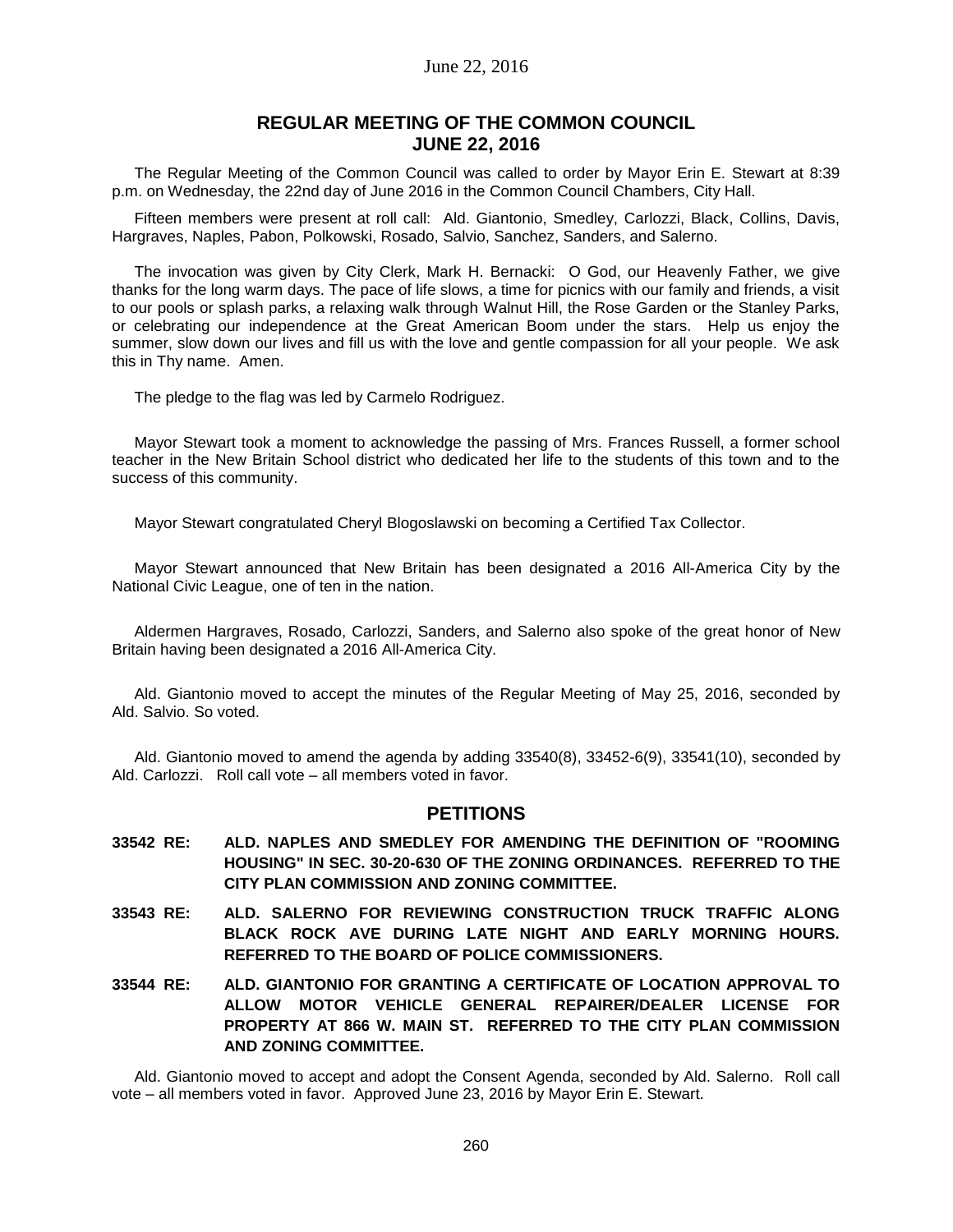## June 22, 2016

## **REGULAR MEETING OF THE COMMON COUNCIL JUNE 22, 2016**

The Regular Meeting of the Common Council was called to order by Mayor Erin E. Stewart at 8:39 p.m. on Wednesday, the 22nd day of June 2016 in the Common Council Chambers, City Hall.

Fifteen members were present at roll call: Ald. Giantonio, Smedley, Carlozzi, Black, Collins, Davis, Hargraves, Naples, Pabon, Polkowski, Rosado, Salvio, Sanchez, Sanders, and Salerno.

The invocation was given by City Clerk, Mark H. Bernacki: O God, our Heavenly Father, we give thanks for the long warm days. The pace of life slows, a time for picnics with our family and friends, a visit to our pools or splash parks, a relaxing walk through Walnut Hill, the Rose Garden or the Stanley Parks, or celebrating our independence at the Great American Boom under the stars. Help us enjoy the summer, slow down our lives and fill us with the love and gentle compassion for all your people. We ask this in Thy name. Amen.

The pledge to the flag was led by Carmelo Rodriguez.

Mayor Stewart took a moment to acknowledge the passing of Mrs. Frances Russell, a former school teacher in the New Britain School district who dedicated her life to the students of this town and to the success of this community.

Mayor Stewart congratulated Cheryl Blogoslawski on becoming a Certified Tax Collector.

Mayor Stewart announced that New Britain has been designated a 2016 All-America City by the National Civic League, one of ten in the nation.

Aldermen Hargraves, Rosado, Carlozzi, Sanders, and Salerno also spoke of the great honor of New Britain having been designated a 2016 All-America City.

Ald. Giantonio moved to accept the minutes of the Regular Meeting of May 25, 2016, seconded by Ald. Salvio. So voted.

Ald. Giantonio moved to amend the agenda by adding 33540(8), 33452-6(9), 33541(10), seconded by Ald. Carlozzi. Roll call vote – all members voted in favor.

### **PETITIONS**

- **33542 RE: ALD. NAPLES AND SMEDLEY FOR AMENDING THE DEFINITION OF "ROOMING HOUSING" IN SEC. 30-20-630 OF THE ZONING ORDINANCES. REFERRED TO THE CITY PLAN COMMISSION AND ZONING COMMITTEE.**
- **33543 RE: ALD. SALERNO FOR REVIEWING CONSTRUCTION TRUCK TRAFFIC ALONG BLACK ROCK AVE DURING LATE NIGHT AND EARLY MORNING HOURS. REFERRED TO THE BOARD OF POLICE COMMISSIONERS.**
- **33544 RE: ALD. GIANTONIO FOR GRANTING A CERTIFICATE OF LOCATION APPROVAL TO ALLOW MOTOR VEHICLE GENERAL REPAIRER/DEALER LICENSE FOR PROPERTY AT 866 W. MAIN ST. REFERRED TO THE CITY PLAN COMMISSION AND ZONING COMMITTEE.**

Ald. Giantonio moved to accept and adopt the Consent Agenda, seconded by Ald. Salerno. Roll call vote – all members voted in favor. Approved June 23, 2016 by Mayor Erin E. Stewart.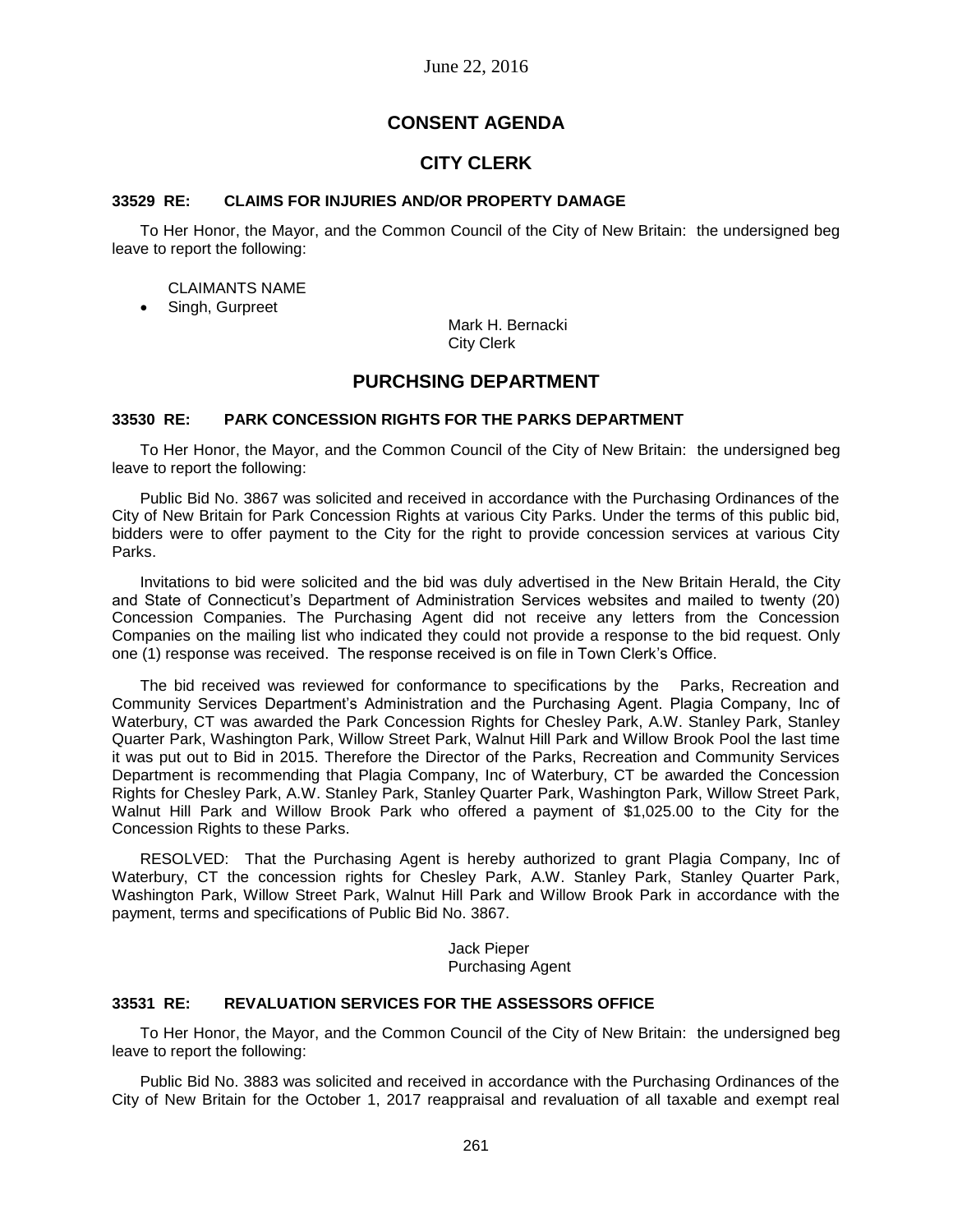# **CONSENT AGENDA**

# **CITY CLERK**

#### **33529 RE: CLAIMS FOR INJURIES AND/OR PROPERTY DAMAGE**

To Her Honor, the Mayor, and the Common Council of the City of New Britain: the undersigned beg leave to report the following:

#### CLAIMANTS NAME

• Singh, Gurpreet

Mark H. Bernacki City Clerk

## **PURCHSING DEPARTMENT**

### **33530 RE: PARK CONCESSION RIGHTS FOR THE PARKS DEPARTMENT**

To Her Honor, the Mayor, and the Common Council of the City of New Britain: the undersigned beg leave to report the following:

Public Bid No. 3867 was solicited and received in accordance with the Purchasing Ordinances of the City of New Britain for Park Concession Rights at various City Parks. Under the terms of this public bid, bidders were to offer payment to the City for the right to provide concession services at various City Parks.

Invitations to bid were solicited and the bid was duly advertised in the New Britain Herald, the City and State of Connecticut's Department of Administration Services websites and mailed to twenty (20) Concession Companies. The Purchasing Agent did not receive any letters from the Concession Companies on the mailing list who indicated they could not provide a response to the bid request. Only one (1) response was received. The response received is on file in Town Clerk's Office.

The bid received was reviewed for conformance to specifications by the Parks, Recreation and Community Services Department's Administration and the Purchasing Agent. Plagia Company, Inc of Waterbury, CT was awarded the Park Concession Rights for Chesley Park, A.W. Stanley Park, Stanley Quarter Park, Washington Park, Willow Street Park, Walnut Hill Park and Willow Brook Pool the last time it was put out to Bid in 2015. Therefore the Director of the Parks, Recreation and Community Services Department is recommending that Plagia Company, Inc of Waterbury, CT be awarded the Concession Rights for Chesley Park, A.W. Stanley Park, Stanley Quarter Park, Washington Park, Willow Street Park, Walnut Hill Park and Willow Brook Park who offered a payment of \$1,025.00 to the City for the Concession Rights to these Parks.

RESOLVED: That the Purchasing Agent is hereby authorized to grant Plagia Company, Inc of Waterbury, CT the concession rights for Chesley Park, A.W. Stanley Park, Stanley Quarter Park, Washington Park, Willow Street Park, Walnut Hill Park and Willow Brook Park in accordance with the payment, terms and specifications of Public Bid No. 3867.

> Jack Pieper Purchasing Agent

#### **33531 RE: REVALUATION SERVICES FOR THE ASSESSORS OFFICE**

To Her Honor, the Mayor, and the Common Council of the City of New Britain: the undersigned beg leave to report the following:

Public Bid No. 3883 was solicited and received in accordance with the Purchasing Ordinances of the City of New Britain for the October 1, 2017 reappraisal and revaluation of all taxable and exempt real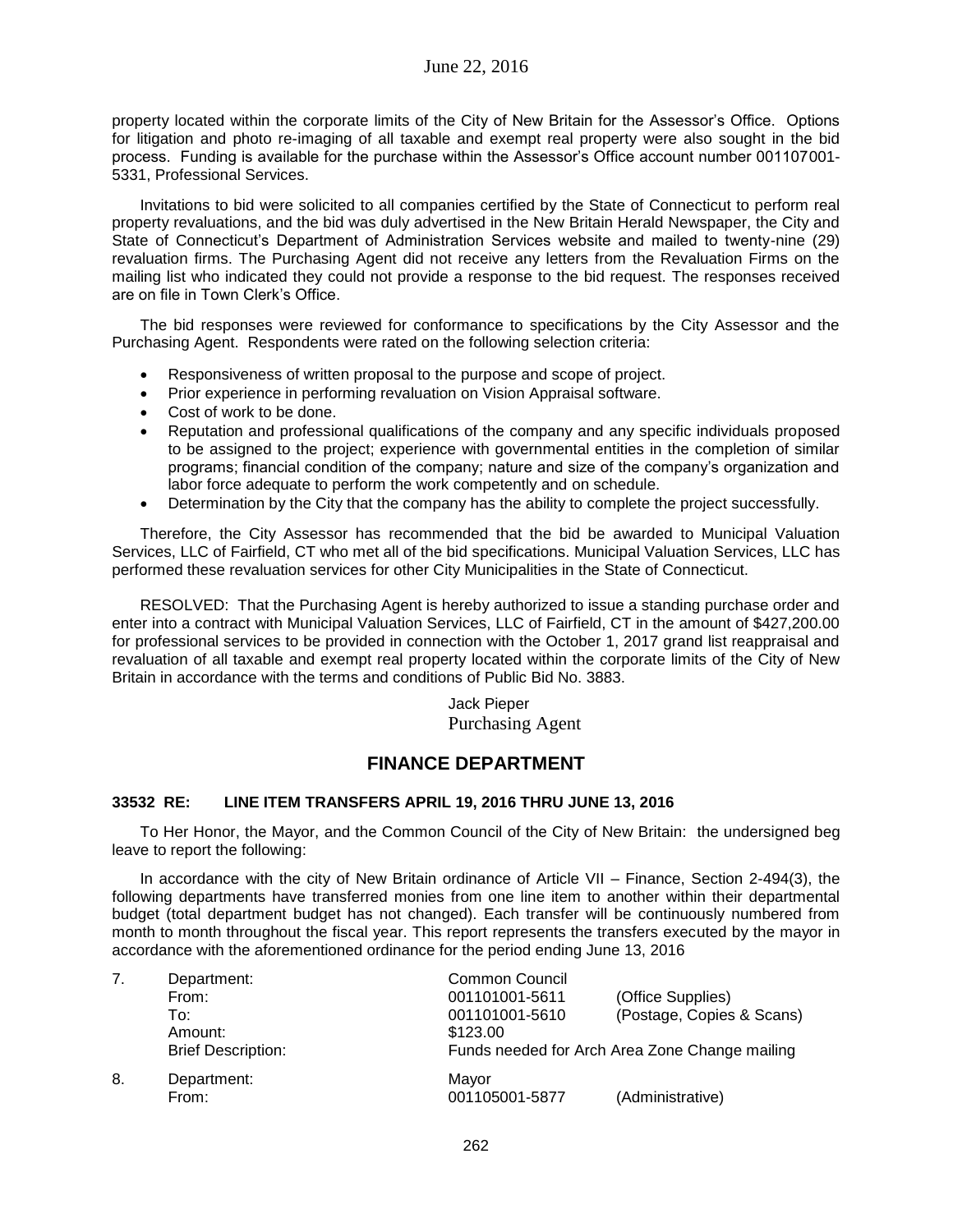property located within the corporate limits of the City of New Britain for the Assessor's Office. Options for litigation and photo re-imaging of all taxable and exempt real property were also sought in the bid process. Funding is available for the purchase within the Assessor's Office account number 001107001- 5331, Professional Services.

Invitations to bid were solicited to all companies certified by the State of Connecticut to perform real property revaluations, and the bid was duly advertised in the New Britain Herald Newspaper, the City and State of Connecticut's Department of Administration Services website and mailed to twenty-nine (29) revaluation firms. The Purchasing Agent did not receive any letters from the Revaluation Firms on the mailing list who indicated they could not provide a response to the bid request. The responses received are on file in Town Clerk's Office.

The bid responses were reviewed for conformance to specifications by the City Assessor and the Purchasing Agent. Respondents were rated on the following selection criteria:

- Responsiveness of written proposal to the purpose and scope of project.
- Prior experience in performing revaluation on Vision Appraisal software.
- Cost of work to be done.
- Reputation and professional qualifications of the company and any specific individuals proposed to be assigned to the project; experience with governmental entities in the completion of similar programs; financial condition of the company; nature and size of the company's organization and labor force adequate to perform the work competently and on schedule.
- Determination by the City that the company has the ability to complete the project successfully.

Therefore, the City Assessor has recommended that the bid be awarded to Municipal Valuation Services, LLC of Fairfield, CT who met all of the bid specifications. Municipal Valuation Services, LLC has performed these revaluation services for other City Municipalities in the State of Connecticut.

RESOLVED: That the Purchasing Agent is hereby authorized to issue a standing purchase order and enter into a contract with Municipal Valuation Services, LLC of Fairfield, CT in the amount of \$427,200.00 for professional services to be provided in connection with the October 1, 2017 grand list reappraisal and revaluation of all taxable and exempt real property located within the corporate limits of the City of New Britain in accordance with the terms and conditions of Public Bid No. 3883.

> Jack Pieper Purchasing Agent

# **FINANCE DEPARTMENT**

### **33532 RE: LINE ITEM TRANSFERS APRIL 19, 2016 THRU JUNE 13, 2016**

To Her Honor, the Mayor, and the Common Council of the City of New Britain: the undersigned beg leave to report the following:

In accordance with the city of New Britain ordinance of Article VII – Finance, Section 2-494(3), the following departments have transferred monies from one line item to another within their departmental budget (total department budget has not changed). Each transfer will be continuously numbered from month to month throughout the fiscal year. This report represents the transfers executed by the mayor in accordance with the aforementioned ordinance for the period ending June 13, 2016

| 7. | Department:               | <b>Common Council</b> |                                                |  |
|----|---------------------------|-----------------------|------------------------------------------------|--|
|    | From:                     | 001101001-5611        | (Office Supplies)                              |  |
|    | To:                       | 001101001-5610        | (Postage, Copies & Scans)                      |  |
|    | Amount:                   | \$123.00              |                                                |  |
|    | <b>Brief Description:</b> |                       | Funds needed for Arch Area Zone Change mailing |  |
| 8. | Department:               | Mayor                 |                                                |  |
|    | From:                     | 001105001-5877        | (Administrative)                               |  |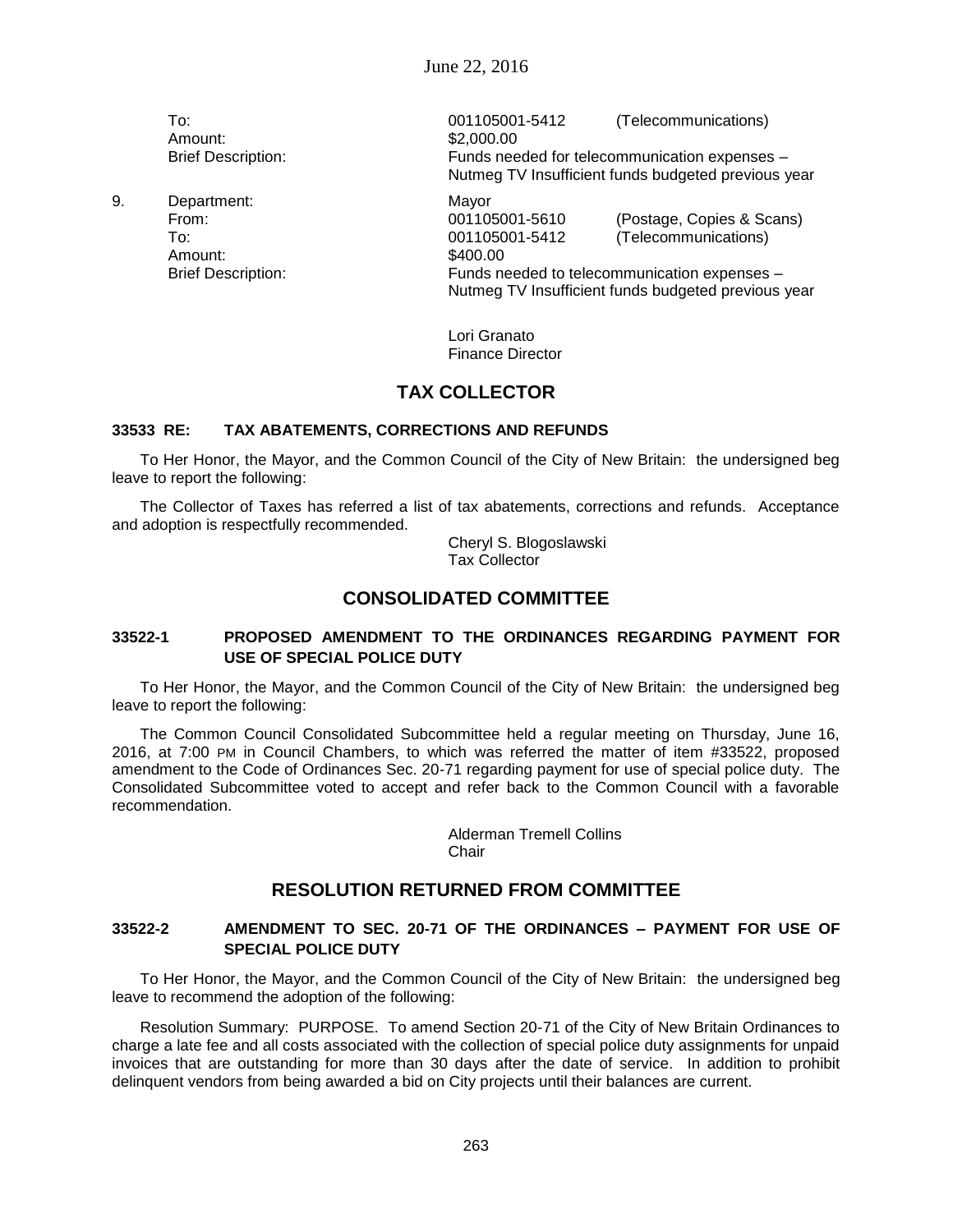Amount: \$2,000.00

9. Department: Mayor Amount: \$400.00

To: 001105001-5412 (Telecommunications) Brief Description: Funds needed for telecommunication expenses – Nutmeg TV Insufficient funds budgeted previous year From: 001105001-5610 (Postage, Copies & Scans) To: 001105001-5412 (Telecommunications)

Brief Description: Funds needed to telecommunication expenses – Nutmeg TV Insufficient funds budgeted previous year

> Lori Granato Finance Director

# **TAX COLLECTOR**

### **33533 RE: TAX ABATEMENTS, CORRECTIONS AND REFUNDS**

To Her Honor, the Mayor, and the Common Council of the City of New Britain: the undersigned beg leave to report the following:

The Collector of Taxes has referred a list of tax abatements, corrections and refunds. Acceptance and adoption is respectfully recommended.

> Cheryl S. Blogoslawski Tax Collector

# **CONSOLIDATED COMMITTEE**

### **33522-1 PROPOSED AMENDMENT TO THE ORDINANCES REGARDING PAYMENT FOR USE OF SPECIAL POLICE DUTY**

To Her Honor, the Mayor, and the Common Council of the City of New Britain: the undersigned beg leave to report the following:

The Common Council Consolidated Subcommittee held a regular meeting on Thursday, June 16, 2016, at 7:00 PM in Council Chambers, to which was referred the matter of item #33522, proposed amendment to the Code of Ordinances Sec. 20-71 regarding payment for use of special police duty. The Consolidated Subcommittee voted to accept and refer back to the Common Council with a favorable recommendation.

> Alderman Tremell Collins Chair

# **RESOLUTION RETURNED FROM COMMITTEE**

## **33522-2 AMENDMENT TO SEC. 20-71 OF THE ORDINANCES – PAYMENT FOR USE OF SPECIAL POLICE DUTY**

To Her Honor, the Mayor, and the Common Council of the City of New Britain: the undersigned beg leave to recommend the adoption of the following:

Resolution Summary: PURPOSE. To amend Section 20-71 of the City of New Britain Ordinances to charge a late fee and all costs associated with the collection of special police duty assignments for unpaid invoices that are outstanding for more than 30 days after the date of service. In addition to prohibit delinquent vendors from being awarded a bid on City projects until their balances are current.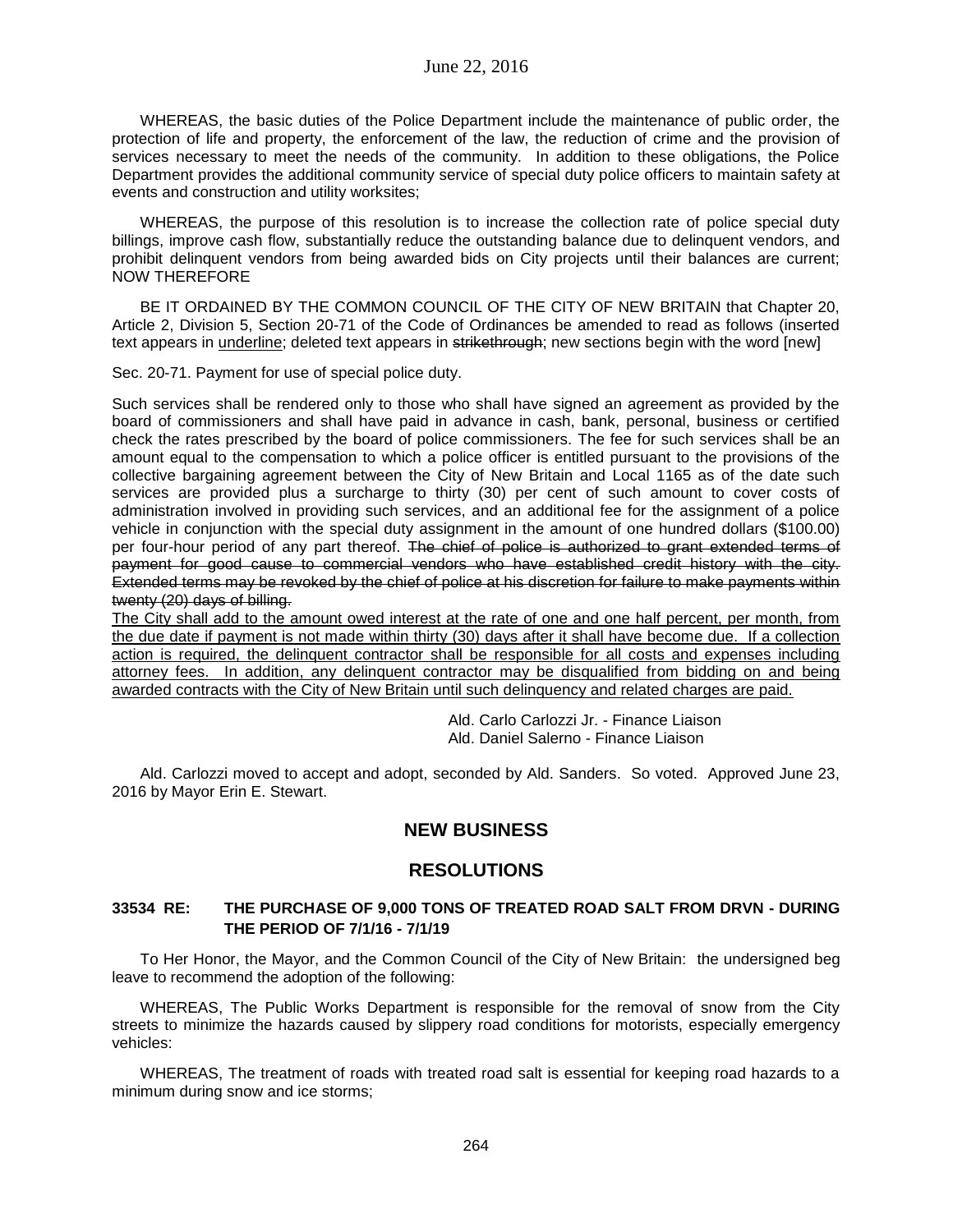WHEREAS, the basic duties of the Police Department include the maintenance of public order, the protection of life and property, the enforcement of the law, the reduction of crime and the provision of services necessary to meet the needs of the community. In addition to these obligations, the Police Department provides the additional community service of special duty police officers to maintain safety at events and construction and utility worksites;

WHEREAS, the purpose of this resolution is to increase the collection rate of police special duty billings, improve cash flow, substantially reduce the outstanding balance due to delinquent vendors, and prohibit delinquent vendors from being awarded bids on City projects until their balances are current; NOW THEREFORE

BE IT ORDAINED BY THE COMMON COUNCIL OF THE CITY OF NEW BRITAIN that Chapter 20, Article 2, Division 5, Section 20-71 of the Code of Ordinances be amended to read as follows (inserted text appears in underline; deleted text appears in strikethrough; new sections begin with the word [new]

Sec. 20-71. Payment for use of special police duty.

Such services shall be rendered only to those who shall have signed an agreement as provided by the board of commissioners and shall have paid in advance in cash, bank, personal, business or certified check the rates prescribed by the board of police commissioners. The fee for such services shall be an amount equal to the compensation to which a police officer is entitled pursuant to the provisions of the collective bargaining agreement between the City of New Britain and Local 1165 as of the date such services are provided plus a surcharge to thirty (30) per cent of such amount to cover costs of administration involved in providing such services, and an additional fee for the assignment of a police vehicle in conjunction with the special duty assignment in the amount of one hundred dollars (\$100.00) per four-hour period of any part thereof. The chief of police is authorized to grant extended terms of payment for good cause to commercial vendors who have established credit history with the city. Extended terms may be revoked by the chief of police at his discretion for failure to make payments within twenty (20) days of billing.

The City shall add to the amount owed interest at the rate of one and one half percent, per month, from the due date if payment is not made within thirty (30) days after it shall have become due. If a collection action is required, the delinquent contractor shall be responsible for all costs and expenses including attorney fees. In addition, any delinquent contractor may be disqualified from bidding on and being awarded contracts with the City of New Britain until such delinquency and related charges are paid.

> Ald. Carlo Carlozzi Jr. - Finance Liaison Ald. Daniel Salerno - Finance Liaison

Ald. Carlozzi moved to accept and adopt, seconded by Ald. Sanders. So voted. Approved June 23, 2016 by Mayor Erin E. Stewart.

# **NEW BUSINESS**

# **RESOLUTIONS**

## **33534 RE: THE PURCHASE OF 9,000 TONS OF TREATED ROAD SALT FROM DRVN - DURING THE PERIOD OF 7/1/16 - 7/1/19**

To Her Honor, the Mayor, and the Common Council of the City of New Britain: the undersigned beg leave to recommend the adoption of the following:

WHEREAS, The Public Works Department is responsible for the removal of snow from the City streets to minimize the hazards caused by slippery road conditions for motorists, especially emergency vehicles:

WHEREAS, The treatment of roads with treated road salt is essential for keeping road hazards to a minimum during snow and ice storms;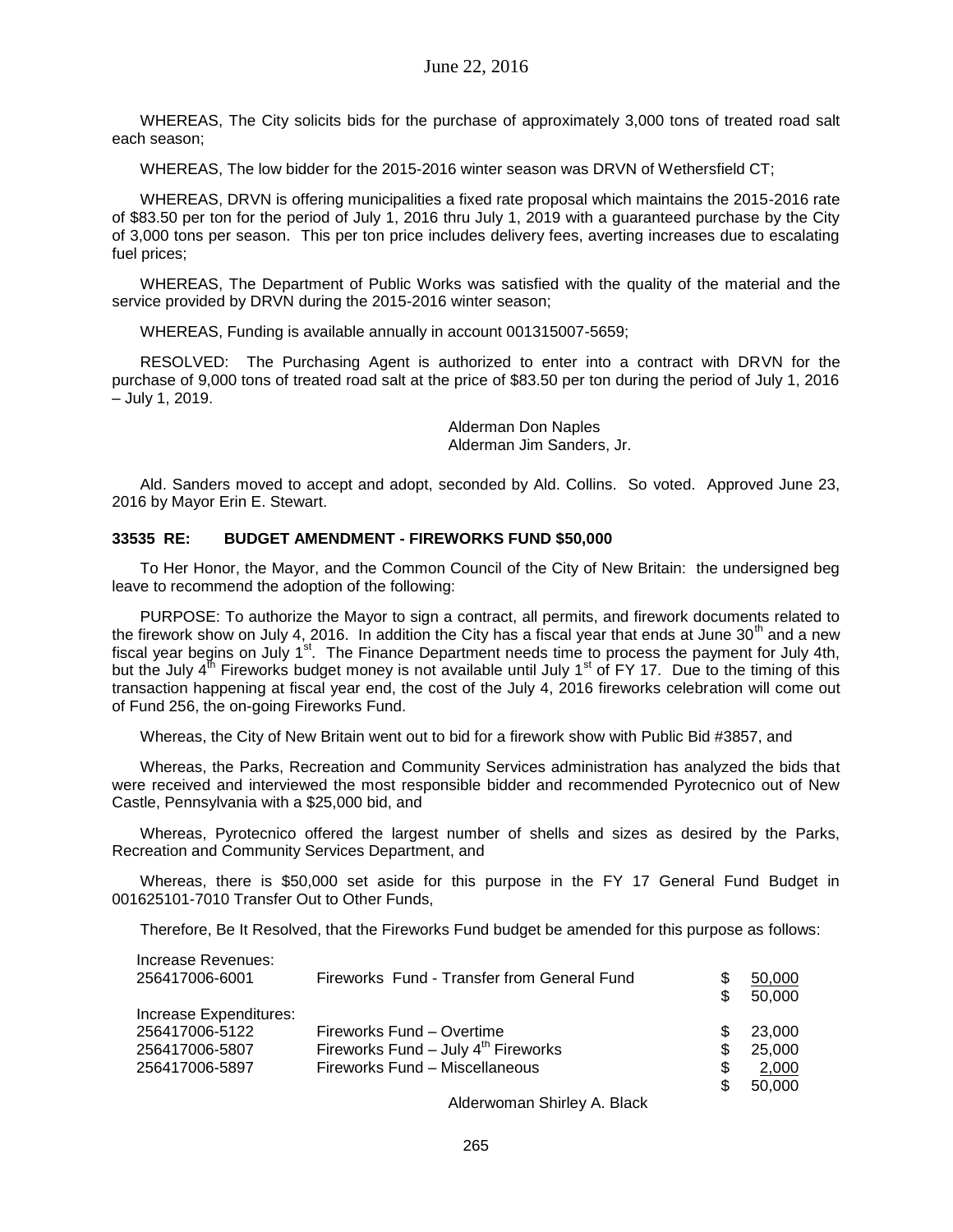WHEREAS, The City solicits bids for the purchase of approximately 3,000 tons of treated road salt each season;

WHEREAS, The low bidder for the 2015-2016 winter season was DRVN of Wethersfield CT;

WHEREAS, DRVN is offering municipalities a fixed rate proposal which maintains the 2015-2016 rate of \$83.50 per ton for the period of July 1, 2016 thru July 1, 2019 with a guaranteed purchase by the City of 3,000 tons per season. This per ton price includes delivery fees, averting increases due to escalating fuel prices;

WHEREAS, The Department of Public Works was satisfied with the quality of the material and the service provided by DRVN during the 2015-2016 winter season;

WHEREAS, Funding is available annually in account 001315007-5659;

RESOLVED: The Purchasing Agent is authorized to enter into a contract with DRVN for the purchase of 9,000 tons of treated road salt at the price of \$83.50 per ton during the period of July 1, 2016 – July 1, 2019.

> Alderman Don Naples Alderman Jim Sanders, Jr.

Ald. Sanders moved to accept and adopt, seconded by Ald. Collins. So voted. Approved June 23, 2016 by Mayor Erin E. Stewart.

### **33535 RE: BUDGET AMENDMENT - FIREWORKS FUND \$50,000**

To Her Honor, the Mayor, and the Common Council of the City of New Britain: the undersigned beg leave to recommend the adoption of the following:

PURPOSE: To authorize the Mayor to sign a contract, all permits, and firework documents related to the firework show on July 4, 2016. In addition the City has a fiscal year that ends at June 30<sup>th</sup> and a new fiscal year begins on July  $1^{st}$ . The Finance Department needs time to process the payment for July 4th, but the July  $4^{th}$  Fireworks budget money is not available until July 1<sup>st</sup> of FY 17. Due to the timing of this transaction happening at fiscal year end, the cost of the July 4, 2016 fireworks celebration will come out of Fund 256, the on-going Fireworks Fund.

Whereas, the City of New Britain went out to bid for a firework show with Public Bid #3857, and

Whereas, the Parks, Recreation and Community Services administration has analyzed the bids that were received and interviewed the most responsible bidder and recommended Pyrotecnico out of New Castle, Pennsylvania with a \$25,000 bid, and

Whereas, Pyrotecnico offered the largest number of shells and sizes as desired by the Parks, Recreation and Community Services Department, and

Whereas, there is \$50,000 set aside for this purpose in the FY 17 General Fund Budget in 001625101-7010 Transfer Out to Other Funds,

Therefore, Be It Resolved, that the Fireworks Fund budget be amended for this purpose as follows:

| Increase Revenues:     |                                             |     |        |
|------------------------|---------------------------------------------|-----|--------|
| 256417006-6001         | Fireworks Fund - Transfer from General Fund | S   | 50,000 |
|                        |                                             | \$  | 50,000 |
| Increase Expenditures: |                                             |     |        |
| 256417006-5122         | Fireworks Fund – Overtime                   | \$. | 23,000 |
| 256417006-5807         | Fireworks Fund $-$ July $4th$ Fireworks     | \$  | 25.000 |
| 256417006-5897         | Fireworks Fund - Miscellaneous              | \$  | 2,000  |
|                        |                                             | \$  | 50,000 |
|                        |                                             |     |        |

Alderwoman Shirley A. Black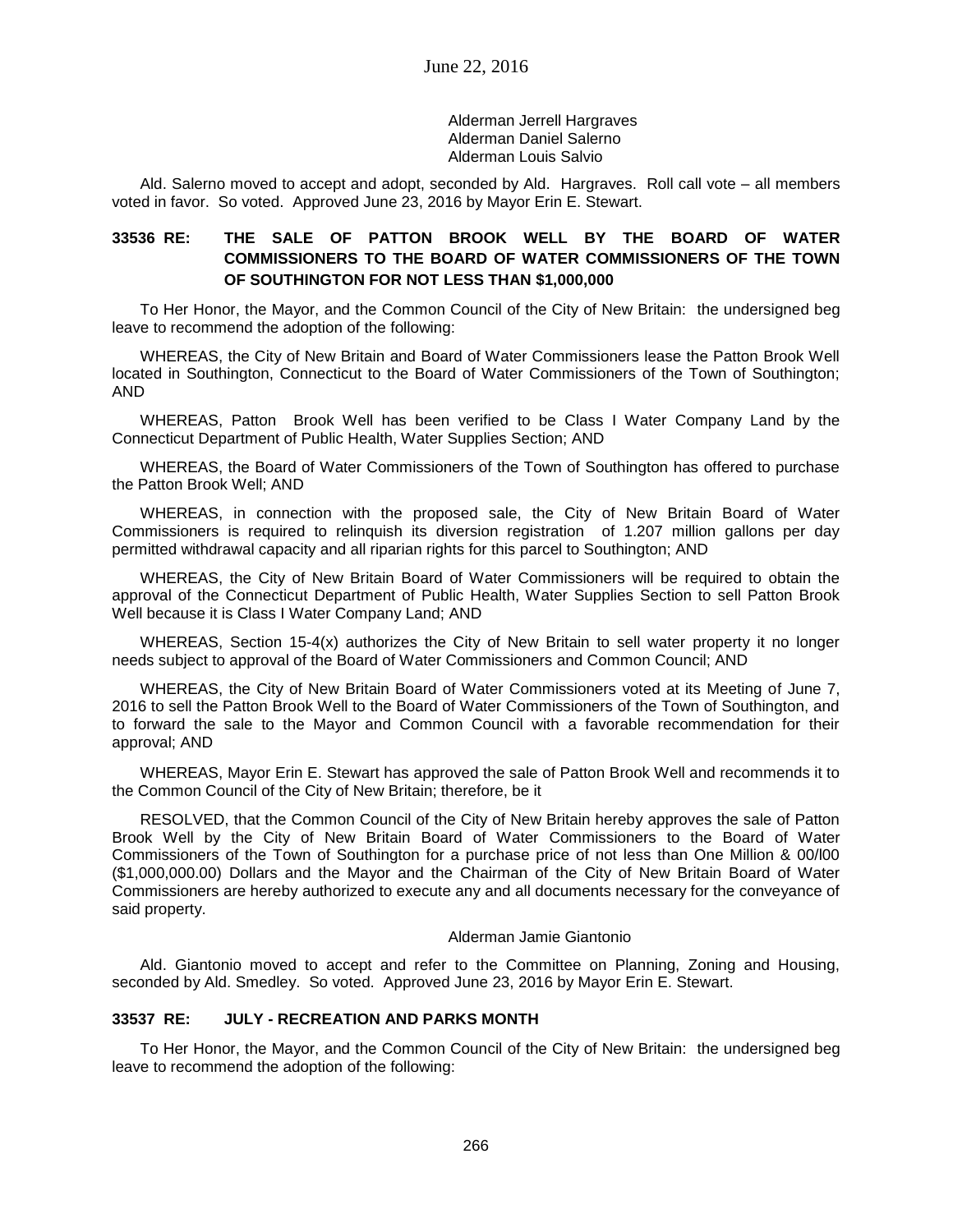Alderman Jerrell Hargraves Alderman Daniel Salerno Alderman Louis Salvio

Ald. Salerno moved to accept and adopt, seconded by Ald. Hargraves. Roll call vote – all members voted in favor. So voted. Approved June 23, 2016 by Mayor Erin E. Stewart.

## **33536 RE: THE SALE OF PATTON BROOK WELL BY THE BOARD OF WATER COMMISSIONERS TO THE BOARD OF WATER COMMISSIONERS OF THE TOWN OF SOUTHINGTON FOR NOT LESS THAN \$1,000,000**

To Her Honor, the Mayor, and the Common Council of the City of New Britain: the undersigned beg leave to recommend the adoption of the following:

WHEREAS, the City of New Britain and Board of Water Commissioners lease the Patton Brook Well located in Southington, Connecticut to the Board of Water Commissioners of the Town of Southington; AND

WHEREAS, Patton Brook Well has been verified to be Class I Water Company Land by the Connecticut Department of Public Health, Water Supplies Section; AND

WHEREAS, the Board of Water Commissioners of the Town of Southington has offered to purchase the Patton Brook Well; AND

WHEREAS, in connection with the proposed sale, the City of New Britain Board of Water Commissioners is required to relinquish its diversion registration of 1.207 million gallons per day permitted withdrawal capacity and all riparian rights for this parcel to Southington; AND

WHEREAS, the City of New Britain Board of Water Commissioners will be required to obtain the approval of the Connecticut Department of Public Health, Water Supplies Section to sell Patton Brook Well because it is Class I Water Company Land; AND

WHEREAS, Section 15-4(x) authorizes the City of New Britain to sell water property it no longer needs subject to approval of the Board of Water Commissioners and Common Council; AND

WHEREAS, the City of New Britain Board of Water Commissioners voted at its Meeting of June 7, 2016 to sell the Patton Brook Well to the Board of Water Commissioners of the Town of Southington, and to forward the sale to the Mayor and Common Council with a favorable recommendation for their approval; AND

WHEREAS, Mayor Erin E. Stewart has approved the sale of Patton Brook Well and recommends it to the Common Council of the City of New Britain; therefore, be it

RESOLVED, that the Common Council of the City of New Britain hereby approves the sale of Patton Brook Well by the City of New Britain Board of Water Commissioners to the Board of Water Commissioners of the Town of Southington for a purchase price of not less than One Million & 00/l00 (\$1,000,000.00) Dollars and the Mayor and the Chairman of the City of New Britain Board of Water Commissioners are hereby authorized to execute any and all documents necessary for the conveyance of said property.

#### Alderman Jamie Giantonio

Ald. Giantonio moved to accept and refer to the Committee on Planning, Zoning and Housing, seconded by Ald. Smedley. So voted. Approved June 23, 2016 by Mayor Erin E. Stewart.

### **33537 RE: JULY - RECREATION AND PARKS MONTH**

To Her Honor, the Mayor, and the Common Council of the City of New Britain: the undersigned beg leave to recommend the adoption of the following: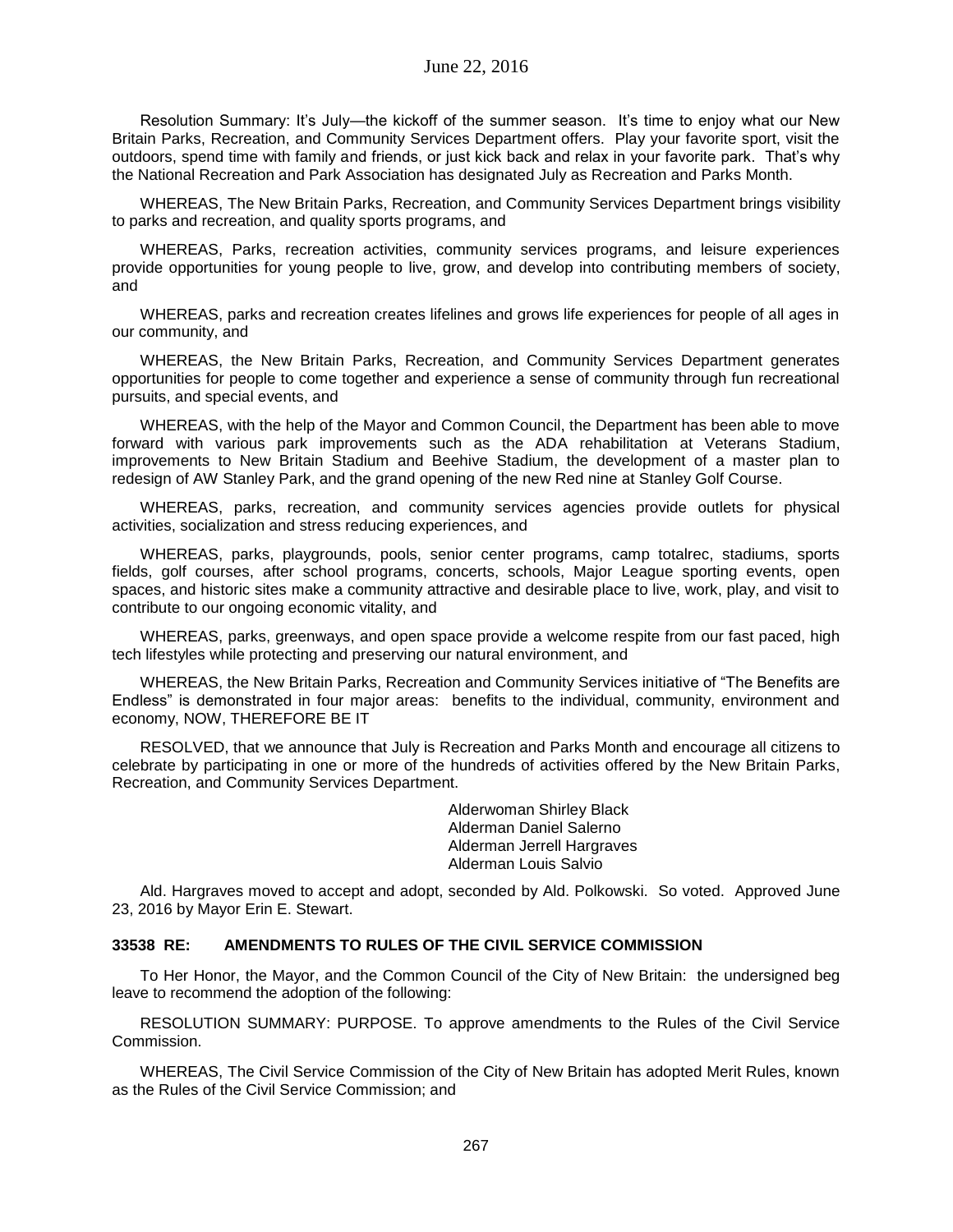Resolution Summary: It's July—the kickoff of the summer season. It's time to enjoy what our New Britain Parks, Recreation, and Community Services Department offers. Play your favorite sport, visit the outdoors, spend time with family and friends, or just kick back and relax in your favorite park. That's why the National Recreation and Park Association has designated July as Recreation and Parks Month.

WHEREAS, The New Britain Parks, Recreation, and Community Services Department brings visibility to parks and recreation, and quality sports programs, and

WHEREAS, Parks, recreation activities, community services programs, and leisure experiences provide opportunities for young people to live, grow, and develop into contributing members of society, and

WHEREAS, parks and recreation creates lifelines and grows life experiences for people of all ages in our community, and

WHEREAS, the New Britain Parks, Recreation, and Community Services Department generates opportunities for people to come together and experience a sense of community through fun recreational pursuits, and special events, and

WHEREAS, with the help of the Mayor and Common Council, the Department has been able to move forward with various park improvements such as the ADA rehabilitation at Veterans Stadium, improvements to New Britain Stadium and Beehive Stadium, the development of a master plan to redesign of AW Stanley Park, and the grand opening of the new Red nine at Stanley Golf Course.

WHEREAS, parks, recreation, and community services agencies provide outlets for physical activities, socialization and stress reducing experiences, and

WHEREAS, parks, playgrounds, pools, senior center programs, camp totalrec, stadiums, sports fields, golf courses, after school programs, concerts, schools, Major League sporting events, open spaces, and historic sites make a community attractive and desirable place to live, work, play, and visit to contribute to our ongoing economic vitality, and

WHEREAS, parks, greenways, and open space provide a welcome respite from our fast paced, high tech lifestyles while protecting and preserving our natural environment, and

WHEREAS, the New Britain Parks, Recreation and Community Services initiative of "The Benefits are Endless" is demonstrated in four major areas: benefits to the individual, community, environment and economy, NOW, THEREFORE BE IT

RESOLVED, that we announce that July is Recreation and Parks Month and encourage all citizens to celebrate by participating in one or more of the hundreds of activities offered by the New Britain Parks, Recreation, and Community Services Department.

> Alderwoman Shirley Black Alderman Daniel Salerno Alderman Jerrell Hargraves Alderman Louis Salvio

Ald. Hargraves moved to accept and adopt, seconded by Ald. Polkowski. So voted. Approved June 23, 2016 by Mayor Erin E. Stewart.

### **33538 RE: AMENDMENTS TO RULES OF THE CIVIL SERVICE COMMISSION**

To Her Honor, the Mayor, and the Common Council of the City of New Britain: the undersigned beg leave to recommend the adoption of the following:

RESOLUTION SUMMARY: PURPOSE. To approve amendments to the Rules of the Civil Service Commission.

WHEREAS, The Civil Service Commission of the City of New Britain has adopted Merit Rules, known as the Rules of the Civil Service Commission; and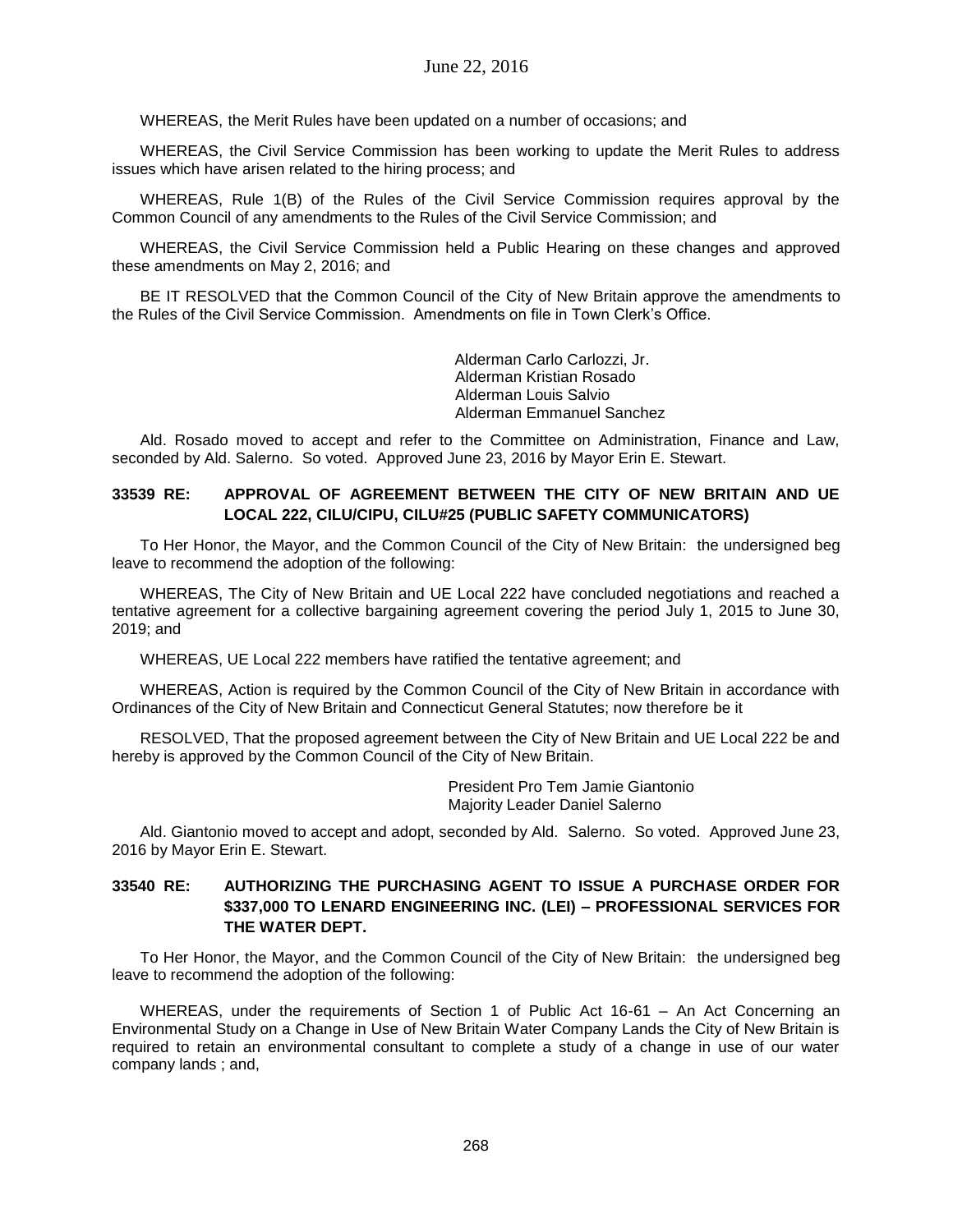WHEREAS, the Merit Rules have been updated on a number of occasions; and

WHEREAS, the Civil Service Commission has been working to update the Merit Rules to address issues which have arisen related to the hiring process; and

WHEREAS, Rule 1(B) of the Rules of the Civil Service Commission requires approval by the Common Council of any amendments to the Rules of the Civil Service Commission; and

WHEREAS, the Civil Service Commission held a Public Hearing on these changes and approved these amendments on May 2, 2016; and

BE IT RESOLVED that the Common Council of the City of New Britain approve the amendments to the Rules of the Civil Service Commission. Amendments on file in Town Clerk's Office.

> Alderman Carlo Carlozzi, Jr. Alderman Kristian Rosado Alderman Louis Salvio Alderman Emmanuel Sanchez

Ald. Rosado moved to accept and refer to the Committee on Administration, Finance and Law, seconded by Ald. Salerno. So voted. Approved June 23, 2016 by Mayor Erin E. Stewart.

## **33539 RE: APPROVAL OF AGREEMENT BETWEEN THE CITY OF NEW BRITAIN AND UE LOCAL 222, CILU/CIPU, CILU#25 (PUBLIC SAFETY COMMUNICATORS)**

To Her Honor, the Mayor, and the Common Council of the City of New Britain: the undersigned beg leave to recommend the adoption of the following:

WHEREAS, The City of New Britain and UE Local 222 have concluded negotiations and reached a tentative agreement for a collective bargaining agreement covering the period July 1, 2015 to June 30, 2019; and

WHEREAS, UE Local 222 members have ratified the tentative agreement; and

WHEREAS, Action is required by the Common Council of the City of New Britain in accordance with Ordinances of the City of New Britain and Connecticut General Statutes; now therefore be it

RESOLVED, That the proposed agreement between the City of New Britain and UE Local 222 be and hereby is approved by the Common Council of the City of New Britain.

> President Pro Tem Jamie Giantonio Majority Leader Daniel Salerno

Ald. Giantonio moved to accept and adopt, seconded by Ald. Salerno. So voted. Approved June 23, 2016 by Mayor Erin E. Stewart.

## **33540 RE: AUTHORIZING THE PURCHASING AGENT TO ISSUE A PURCHASE ORDER FOR \$337,000 TO LENARD ENGINEERING INC. (LEI) – PROFESSIONAL SERVICES FOR THE WATER DEPT.**

To Her Honor, the Mayor, and the Common Council of the City of New Britain: the undersigned beg leave to recommend the adoption of the following:

WHEREAS, under the requirements of Section 1 of Public Act 16-61 – An Act Concerning an Environmental Study on a Change in Use of New Britain Water Company Lands the City of New Britain is required to retain an environmental consultant to complete a study of a change in use of our water company lands ; and,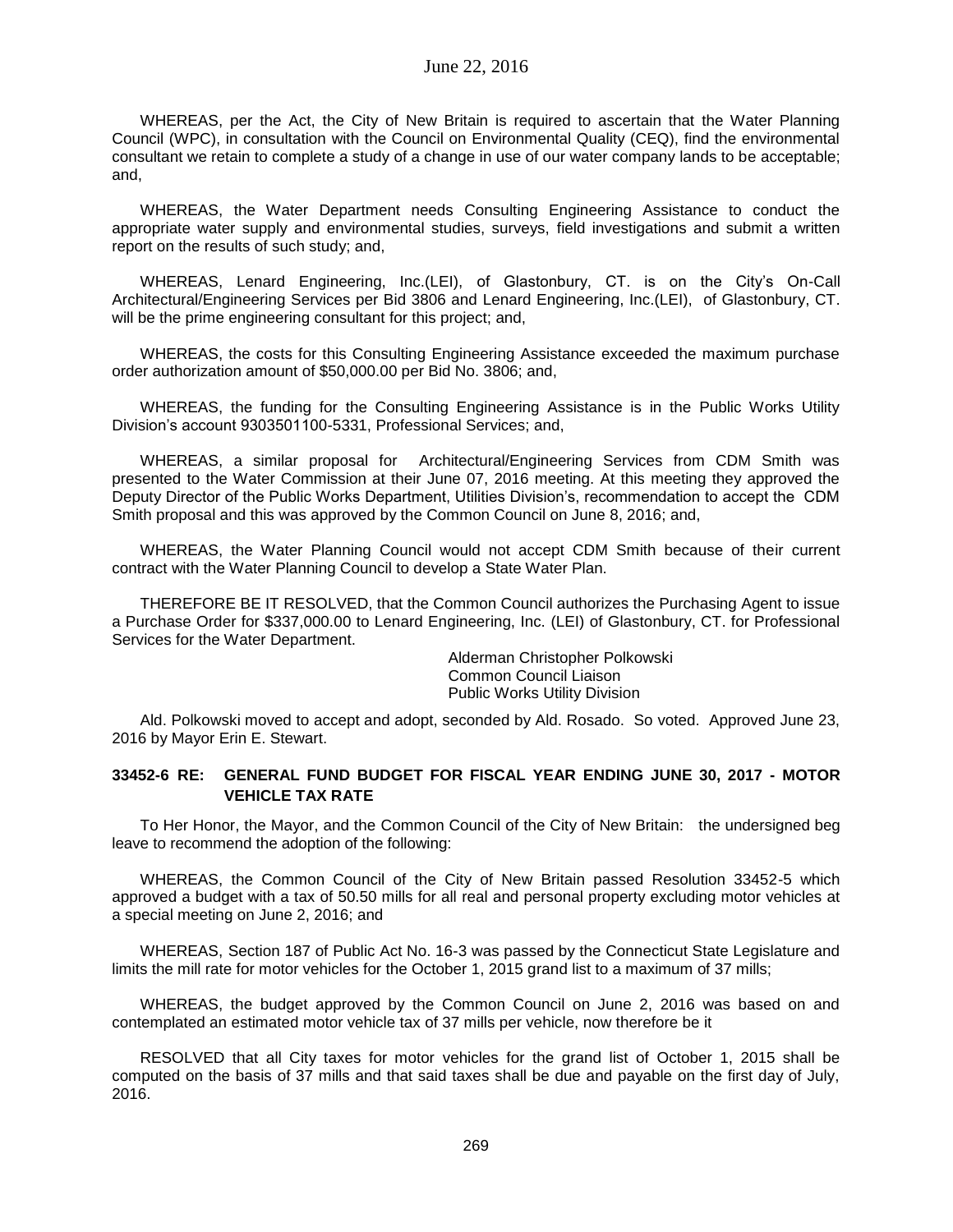WHEREAS, per the Act, the City of New Britain is required to ascertain that the Water Planning Council (WPC), in consultation with the Council on Environmental Quality (CEQ), find the environmental consultant we retain to complete a study of a change in use of our water company lands to be acceptable; and,

WHEREAS, the Water Department needs Consulting Engineering Assistance to conduct the appropriate water supply and environmental studies, surveys, field investigations and submit a written report on the results of such study; and,

WHEREAS, Lenard Engineering, Inc.(LEI), of Glastonbury, CT. is on the City's On-Call Architectural/Engineering Services per Bid 3806 and Lenard Engineering, Inc.(LEI), of Glastonbury, CT. will be the prime engineering consultant for this project; and,

WHEREAS, the costs for this Consulting Engineering Assistance exceeded the maximum purchase order authorization amount of \$50,000.00 per Bid No. 3806; and,

WHEREAS, the funding for the Consulting Engineering Assistance is in the Public Works Utility Division's account 9303501100-5331, Professional Services; and,

WHEREAS, a similar proposal for Architectural/Engineering Services from CDM Smith was presented to the Water Commission at their June 07, 2016 meeting. At this meeting they approved the Deputy Director of the Public Works Department, Utilities Division's, recommendation to accept the CDM Smith proposal and this was approved by the Common Council on June 8, 2016; and,

WHEREAS, the Water Planning Council would not accept CDM Smith because of their current contract with the Water Planning Council to develop a State Water Plan.

THEREFORE BE IT RESOLVED, that the Common Council authorizes the Purchasing Agent to issue a Purchase Order for \$337,000.00 to Lenard Engineering, Inc. (LEI) of Glastonbury, CT. for Professional Services for the Water Department.

> Alderman Christopher Polkowski Common Council Liaison Public Works Utility Division

Ald. Polkowski moved to accept and adopt, seconded by Ald. Rosado. So voted. Approved June 23, 2016 by Mayor Erin E. Stewart.

### **33452-6 RE: GENERAL FUND BUDGET FOR FISCAL YEAR ENDING JUNE 30, 2017 - MOTOR VEHICLE TAX RATE**

To Her Honor, the Mayor, and the Common Council of the City of New Britain: the undersigned beg leave to recommend the adoption of the following:

WHEREAS, the Common Council of the City of New Britain passed Resolution 33452-5 which approved a budget with a tax of 50.50 mills for all real and personal property excluding motor vehicles at a special meeting on June 2, 2016; and

WHEREAS, Section 187 of Public Act No. 16-3 was passed by the Connecticut State Legislature and limits the mill rate for motor vehicles for the October 1, 2015 grand list to a maximum of 37 mills;

WHEREAS, the budget approved by the Common Council on June 2, 2016 was based on and contemplated an estimated motor vehicle tax of 37 mills per vehicle, now therefore be it

RESOLVED that all City taxes for motor vehicles for the grand list of October 1, 2015 shall be computed on the basis of 37 mills and that said taxes shall be due and payable on the first day of July, 2016.